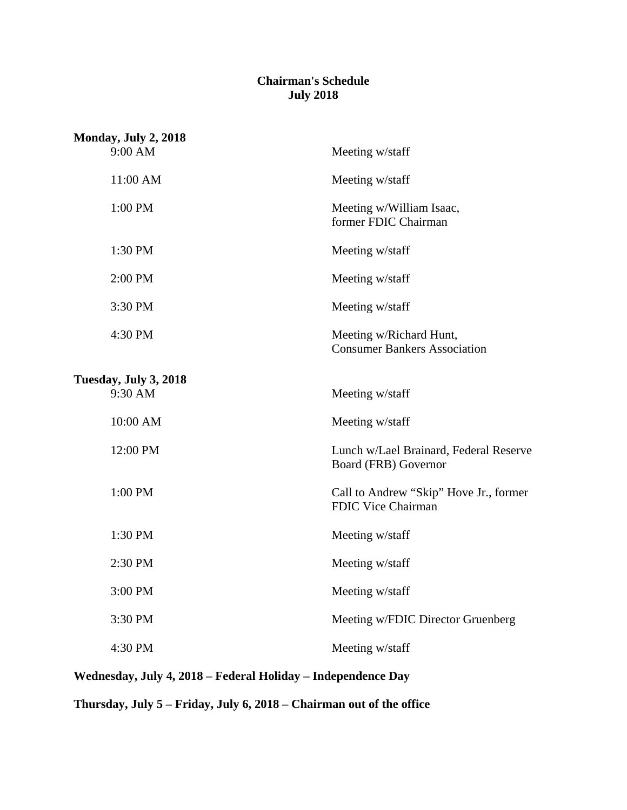### **Chairman's Schedule July 2018**

| Monday, July 2, 2018             |                                                                |
|----------------------------------|----------------------------------------------------------------|
| 9:00 AM                          | Meeting w/staff                                                |
| 11:00 AM                         | Meeting w/staff                                                |
| 1:00 PM                          | Meeting w/William Isaac,<br>former FDIC Chairman               |
| 1:30 PM                          | Meeting w/staff                                                |
| 2:00 PM                          | Meeting w/staff                                                |
| 3:30 PM                          | Meeting w/staff                                                |
| 4:30 PM                          | Meeting w/Richard Hunt,<br><b>Consumer Bankers Association</b> |
|                                  |                                                                |
| Tuesday, July 3, 2018<br>9:30 AM | Meeting w/staff                                                |
| 10:00 AM                         | Meeting w/staff                                                |
| 12:00 PM                         | Lunch w/Lael Brainard, Federal Reserve<br>Board (FRB) Governor |
| 1:00 PM                          | Call to Andrew "Skip" Hove Jr., former<br>FDIC Vice Chairman   |
| 1:30 PM                          | Meeting w/staff                                                |
| 2:30 PM                          | Meeting w/staff                                                |
| 3:00 PM                          | Meeting w/staff                                                |
| 3:30 PM                          | Meeting w/FDIC Director Gruenberg                              |
| 4:30 PM                          | Meeting w/staff                                                |
|                                  |                                                                |

**Wednesday, July 4, 2018 – Federal Holiday – Independence Day**

**Thursday, July 5 – Friday, July 6, 2018 – Chairman out of the office**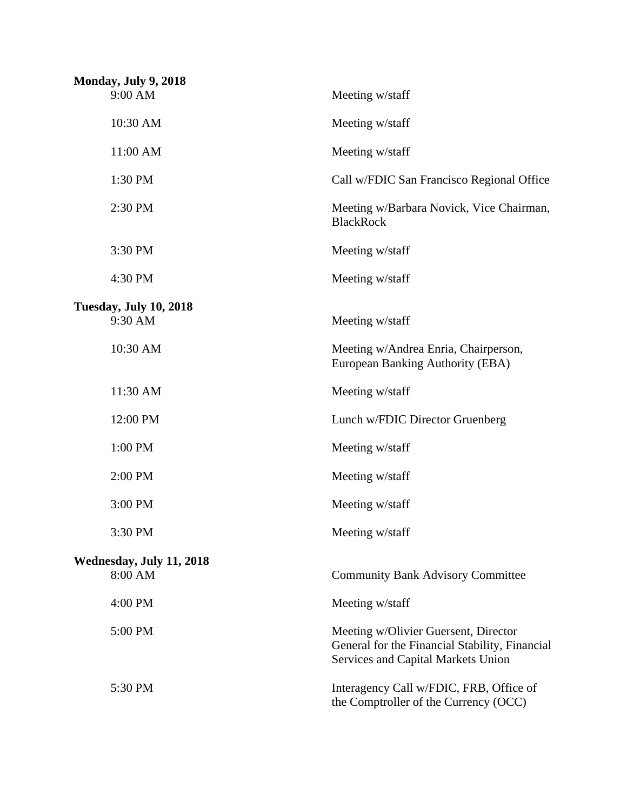| Monday, July 9, 2018<br>9:00 AM          | Meeting w/staff                                                                                                              |
|------------------------------------------|------------------------------------------------------------------------------------------------------------------------------|
| 10:30 AM                                 | Meeting w/staff                                                                                                              |
| 11:00 AM                                 | Meeting w/staff                                                                                                              |
| 1:30 PM                                  | Call w/FDIC San Francisco Regional Office                                                                                    |
| 2:30 PM                                  | Meeting w/Barbara Novick, Vice Chairman,<br><b>BlackRock</b>                                                                 |
| 3:30 PM                                  | Meeting w/staff                                                                                                              |
| 4:30 PM                                  | Meeting w/staff                                                                                                              |
| <b>Tuesday, July 10, 2018</b><br>9:30 AM | Meeting w/staff                                                                                                              |
| 10:30 AM                                 | Meeting w/Andrea Enria, Chairperson,<br>European Banking Authority (EBA)                                                     |
| 11:30 AM                                 | Meeting w/staff                                                                                                              |
| 12:00 PM                                 | Lunch w/FDIC Director Gruenberg                                                                                              |
| 1:00 PM                                  | Meeting w/staff                                                                                                              |
| 2:00 PM                                  | Meeting w/staff                                                                                                              |
| 3:00 PM                                  | Meeting w/staff                                                                                                              |
| 3:30 PM                                  | Meeting w/staff                                                                                                              |
| Wednesday, July 11, 2018<br>8:00 AM      | <b>Community Bank Advisory Committee</b>                                                                                     |
| 4:00 PM                                  | Meeting w/staff                                                                                                              |
| 5:00 PM                                  | Meeting w/Olivier Guersent, Director<br>General for the Financial Stability, Financial<br>Services and Capital Markets Union |
| 5:30 PM                                  | Interagency Call w/FDIC, FRB, Office of<br>the Comptroller of the Currency (OCC)                                             |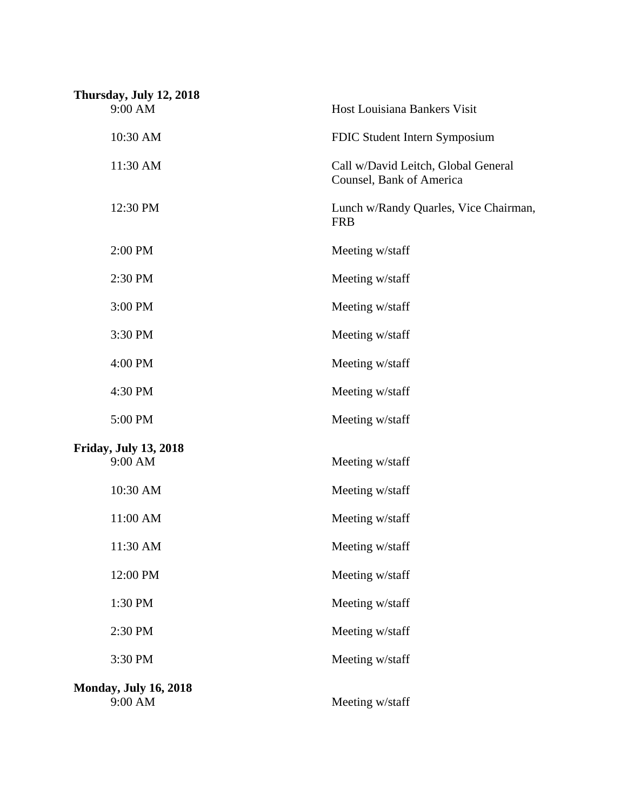| Thursday, July 12, 2018                 |                                                                 |
|-----------------------------------------|-----------------------------------------------------------------|
| 9:00 AM                                 | Host Louisiana Bankers Visit                                    |
| 10:30 AM                                | FDIC Student Intern Symposium                                   |
| 11:30 AM                                | Call w/David Leitch, Global General<br>Counsel, Bank of America |
| 12:30 PM                                | Lunch w/Randy Quarles, Vice Chairman,<br><b>FRB</b>             |
| 2:00 PM                                 | Meeting w/staff                                                 |
| 2:30 PM                                 | Meeting w/staff                                                 |
| 3:00 PM                                 | Meeting w/staff                                                 |
| 3:30 PM                                 | Meeting w/staff                                                 |
| 4:00 PM                                 | Meeting w/staff                                                 |
| 4:30 PM                                 | Meeting w/staff                                                 |
| 5:00 PM                                 | Meeting w/staff                                                 |
| <b>Friday, July 13, 2018</b><br>9:00 AM | Meeting w/staff                                                 |
| 10:30 AM                                | Meeting w/staff                                                 |
| 11:00 AM                                | Meeting w/staff                                                 |
| 11:30 AM                                | Meeting w/staff                                                 |
| 12:00 PM                                | Meeting w/staff                                                 |
| 1:30 PM                                 | Meeting w/staff                                                 |
| 2:30 PM                                 | Meeting w/staff                                                 |
| 3:30 PM                                 | Meeting w/staff                                                 |
| <b>Monday, July 16, 2018</b><br>9:00 AM | Meeting w/staff                                                 |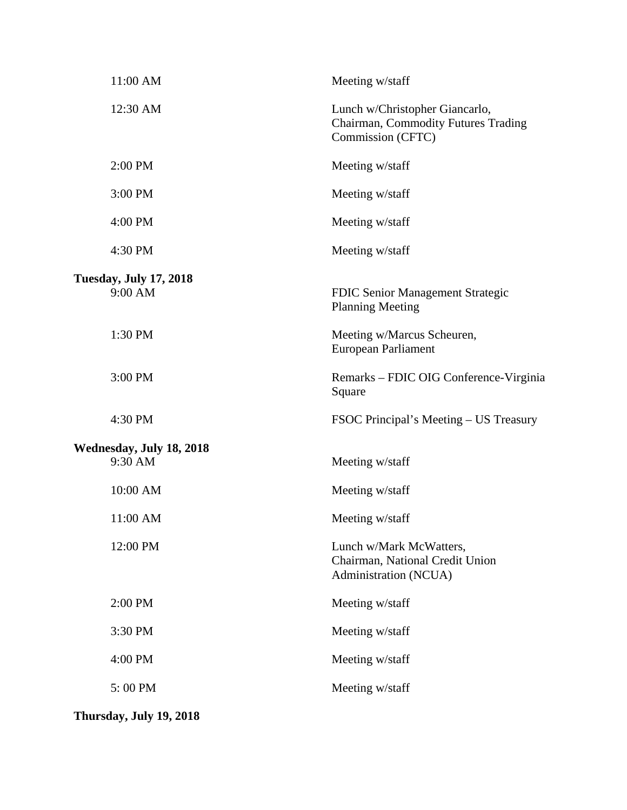| 11:00 AM                                 | Meeting w/staff                                                                            |
|------------------------------------------|--------------------------------------------------------------------------------------------|
| 12:30 AM                                 | Lunch w/Christopher Giancarlo,<br>Chairman, Commodity Futures Trading<br>Commission (CFTC) |
| 2:00 PM                                  | Meeting w/staff                                                                            |
| 3:00 PM                                  | Meeting w/staff                                                                            |
| 4:00 PM                                  | Meeting w/staff                                                                            |
| 4:30 PM                                  | Meeting w/staff                                                                            |
| <b>Tuesday, July 17, 2018</b><br>9:00 AM | <b>FDIC Senior Management Strategic</b><br><b>Planning Meeting</b>                         |
| 1:30 PM                                  | Meeting w/Marcus Scheuren,<br>European Parliament                                          |
| 3:00 PM                                  | Remarks - FDIC OIG Conference-Virginia<br>Square                                           |
| 4:30 PM                                  | FSOC Principal's Meeting – US Treasury                                                     |
| Wednesday, July 18, 2018                 |                                                                                            |
| 9:30 AM                                  | Meeting w/staff                                                                            |
| 10:00 AM                                 | Meeting w/staff                                                                            |
| 11:00 AM                                 | Meeting w/staff                                                                            |
| 12:00 PM                                 | Lunch w/Mark McWatters,<br>Chairman, National Credit Union<br>Administration (NCUA)        |
| 2:00 PM                                  | Meeting w/staff                                                                            |
| 3:30 PM                                  | Meeting w/staff                                                                            |
| 4:00 PM                                  | Meeting w/staff                                                                            |
| 5:00 PM                                  | Meeting w/staff                                                                            |
|                                          |                                                                                            |

**Thursday, July 19, 2018**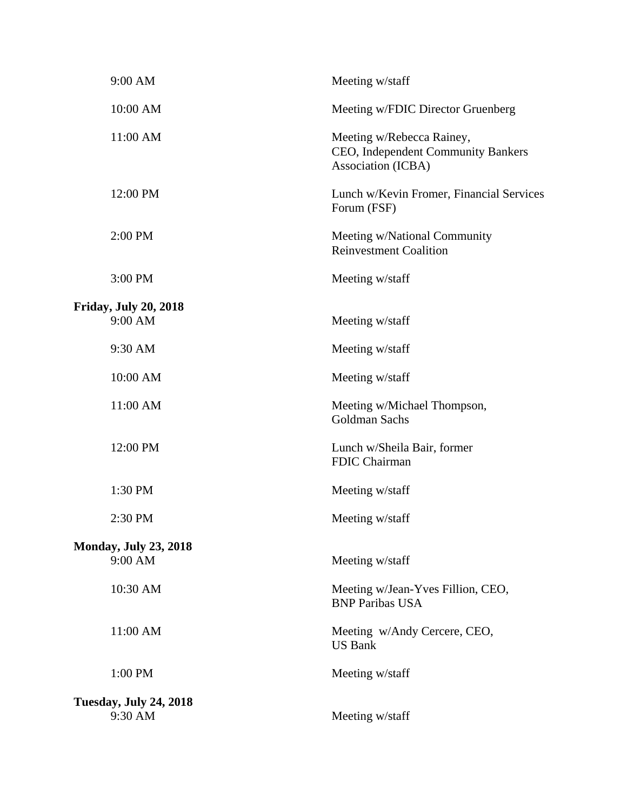| 9:00 AM                                  | Meeting w/staff                                                                       |
|------------------------------------------|---------------------------------------------------------------------------------------|
| 10:00 AM                                 | Meeting w/FDIC Director Gruenberg                                                     |
| 11:00 AM                                 | Meeting w/Rebecca Rainey,<br>CEO, Independent Community Bankers<br>Association (ICBA) |
| 12:00 PM                                 | Lunch w/Kevin Fromer, Financial Services<br>Forum (FSF)                               |
| 2:00 PM                                  | Meeting w/National Community<br><b>Reinvestment Coalition</b>                         |
| 3:00 PM                                  | Meeting w/staff                                                                       |
| <b>Friday, July 20, 2018</b><br>9:00 AM  | Meeting w/staff                                                                       |
| 9:30 AM                                  | Meeting w/staff                                                                       |
| 10:00 AM                                 | Meeting w/staff                                                                       |
| 11:00 AM                                 | Meeting w/Michael Thompson,<br>Goldman Sachs                                          |
| 12:00 PM                                 | Lunch w/Sheila Bair, former<br>FDIC Chairman                                          |
| 1:30 PM                                  | Meeting w/staff                                                                       |
| 2:30 PM                                  | Meeting w/staff                                                                       |
| <b>Monday, July 23, 2018</b>             |                                                                                       |
| 9:00 AM                                  | Meeting w/staff                                                                       |
| 10:30 AM                                 | Meeting w/Jean-Yves Fillion, CEO,<br><b>BNP Paribas USA</b>                           |
| 11:00 AM                                 | Meeting w/Andy Cercere, CEO,<br><b>US Bank</b>                                        |
| 1:00 PM                                  | Meeting w/staff                                                                       |
| <b>Tuesday, July 24, 2018</b><br>9:30 AM | Meeting w/staff                                                                       |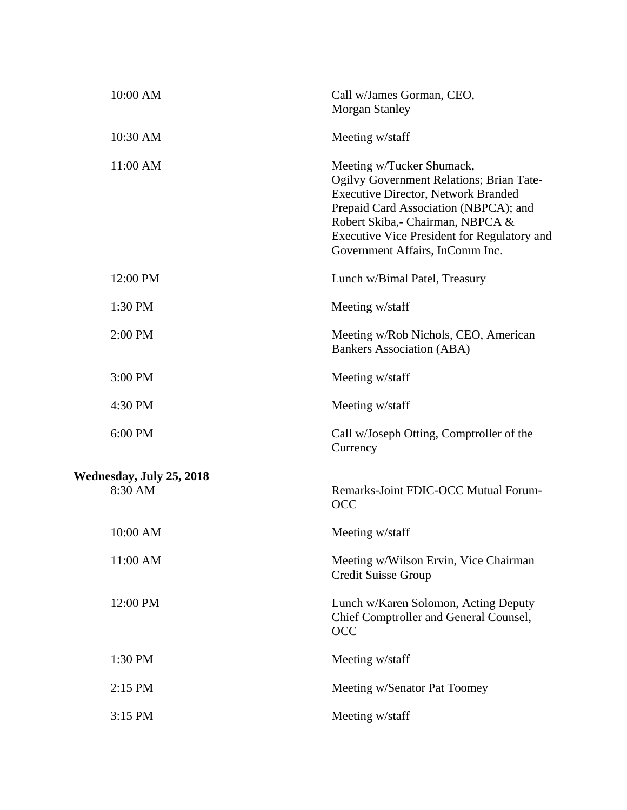| 10:00 AM                            | Call w/James Gorman, CEO,<br><b>Morgan Stanley</b>                                                                                                                                                                                                                                 |
|-------------------------------------|------------------------------------------------------------------------------------------------------------------------------------------------------------------------------------------------------------------------------------------------------------------------------------|
| 10:30 AM                            | Meeting w/staff                                                                                                                                                                                                                                                                    |
| 11:00 AM                            | Meeting w/Tucker Shumack,<br>Ogilvy Government Relations; Brian Tate-<br><b>Executive Director, Network Branded</b><br>Prepaid Card Association (NBPCA); and<br>Robert Skiba,- Chairman, NBPCA &<br>Executive Vice President for Regulatory and<br>Government Affairs, InComm Inc. |
| 12:00 PM                            | Lunch w/Bimal Patel, Treasury                                                                                                                                                                                                                                                      |
| 1:30 PM                             | Meeting w/staff                                                                                                                                                                                                                                                                    |
| 2:00 PM                             | Meeting w/Rob Nichols, CEO, American<br><b>Bankers Association (ABA)</b>                                                                                                                                                                                                           |
| 3:00 PM                             | Meeting w/staff                                                                                                                                                                                                                                                                    |
| 4:30 PM                             | Meeting w/staff                                                                                                                                                                                                                                                                    |
| 6:00 PM                             | Call w/Joseph Otting, Comptroller of the<br>Currency                                                                                                                                                                                                                               |
| Wednesday, July 25, 2018<br>8:30 AM | Remarks-Joint FDIC-OCC Mutual Forum-<br><b>OCC</b>                                                                                                                                                                                                                                 |
| 10:00 AM                            | Meeting w/staff                                                                                                                                                                                                                                                                    |
| 11:00 AM                            | Meeting w/Wilson Ervin, Vice Chairman<br><b>Credit Suisse Group</b>                                                                                                                                                                                                                |
| 12:00 PM                            | Lunch w/Karen Solomon, Acting Deputy<br>Chief Comptroller and General Counsel,<br><b>OCC</b>                                                                                                                                                                                       |
| 1:30 PM                             | Meeting w/staff                                                                                                                                                                                                                                                                    |
| 2:15 PM                             | Meeting w/Senator Pat Toomey                                                                                                                                                                                                                                                       |
| 3:15 PM                             | Meeting w/staff                                                                                                                                                                                                                                                                    |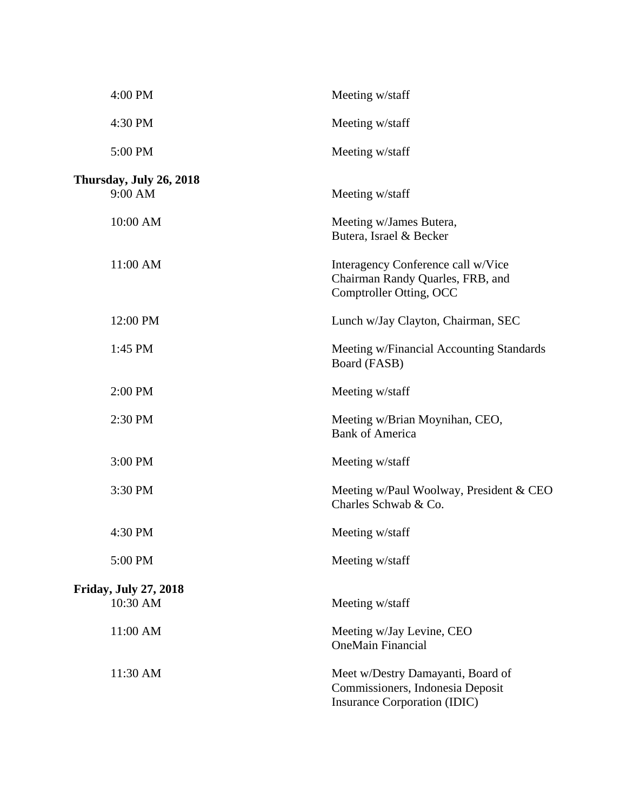| 4:00 PM                                  | Meeting w/staff                                                                                       |
|------------------------------------------|-------------------------------------------------------------------------------------------------------|
| 4:30 PM                                  | Meeting w/staff                                                                                       |
| 5:00 PM                                  | Meeting w/staff                                                                                       |
| Thursday, July 26, 2018<br>9:00 AM       | Meeting w/staff                                                                                       |
| 10:00 AM                                 | Meeting w/James Butera,<br>Butera, Israel & Becker                                                    |
| 11:00 AM                                 | Interagency Conference call w/Vice<br>Chairman Randy Quarles, FRB, and<br>Comptroller Otting, OCC     |
| 12:00 PM                                 | Lunch w/Jay Clayton, Chairman, SEC                                                                    |
| 1:45 PM                                  | Meeting w/Financial Accounting Standards<br>Board (FASB)                                              |
| 2:00 PM                                  | Meeting w/staff                                                                                       |
| 2:30 PM                                  | Meeting w/Brian Moynihan, CEO,<br><b>Bank of America</b>                                              |
| 3:00 PM                                  | Meeting w/staff                                                                                       |
| 3:30 PM                                  | Meeting w/Paul Woolway, President & CEO<br>Charles Schwab & Co.                                       |
| 4:30 PM                                  | Meeting w/staff                                                                                       |
| 5:00 PM                                  | Meeting w/staff                                                                                       |
| <b>Friday, July 27, 2018</b><br>10:30 AM | Meeting w/staff                                                                                       |
| 11:00 AM                                 | Meeting w/Jay Levine, CEO<br><b>OneMain Financial</b>                                                 |
| 11:30 AM                                 | Meet w/Destry Damayanti, Board of<br>Commissioners, Indonesia Deposit<br>Insurance Corporation (IDIC) |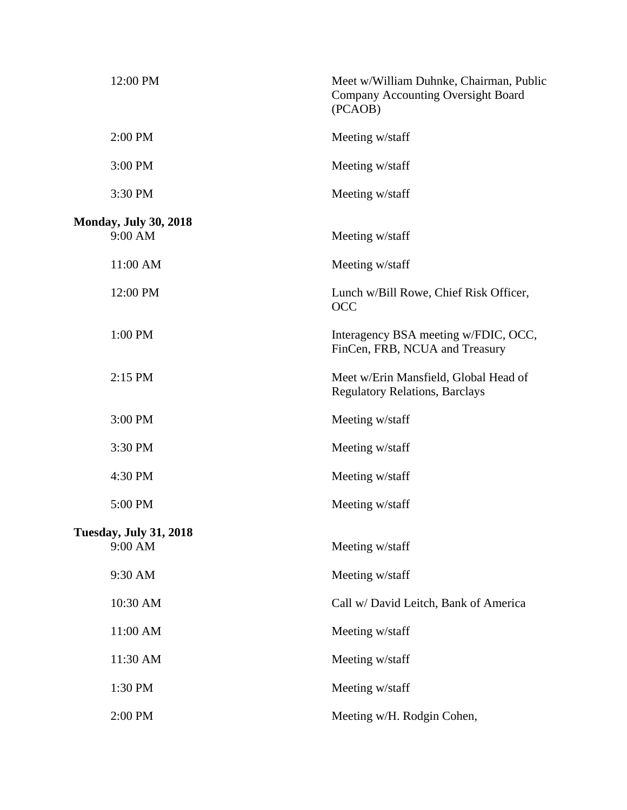| 12:00 PM                                 | Meet w/William Duhnke, Chairman, Public<br><b>Company Accounting Oversight Board</b><br>(PCAOB) |
|------------------------------------------|-------------------------------------------------------------------------------------------------|
| 2:00 PM                                  | Meeting w/staff                                                                                 |
| 3:00 PM                                  | Meeting w/staff                                                                                 |
| 3:30 PM                                  | Meeting w/staff                                                                                 |
| <b>Monday, July 30, 2018</b><br>9:00 AM  | Meeting w/staff                                                                                 |
| 11:00 AM                                 | Meeting w/staff                                                                                 |
| 12:00 PM                                 | Lunch w/Bill Rowe, Chief Risk Officer,<br><b>OCC</b>                                            |
| 1:00 PM                                  | Interagency BSA meeting w/FDIC, OCC,<br>FinCen, FRB, NCUA and Treasury                          |
| 2:15 PM                                  | Meet w/Erin Mansfield, Global Head of<br><b>Regulatory Relations, Barclays</b>                  |
| 3:00 PM                                  | Meeting w/staff                                                                                 |
| 3:30 PM                                  | Meeting w/staff                                                                                 |
| 4:30 PM                                  | Meeting w/staff                                                                                 |
| 5:00 PM                                  | Meeting w/staff                                                                                 |
| <b>Tuesday, July 31, 2018</b><br>9:00 AM | Meeting w/staff                                                                                 |
| 9:30 AM                                  | Meeting w/staff                                                                                 |
| 10:30 AM                                 | Call w/ David Leitch, Bank of America                                                           |
| 11:00 AM                                 | Meeting w/staff                                                                                 |
| 11:30 AM                                 | Meeting w/staff                                                                                 |
| 1:30 PM                                  | Meeting w/staff                                                                                 |
| 2:00 PM                                  | Meeting w/H. Rodgin Cohen,                                                                      |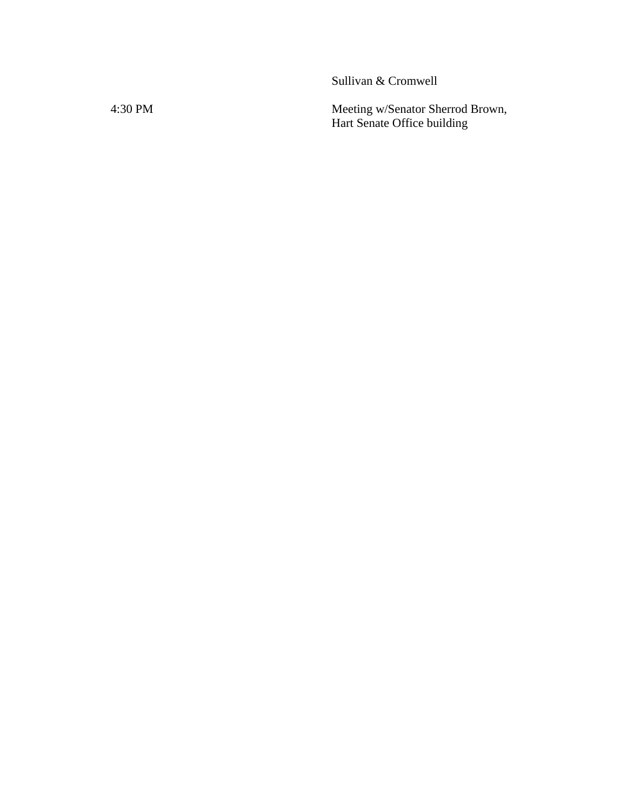Sullivan & Cromwell

30 PM Meeting w/Senator Sherrod Brown , Hart Senate Office building

4 :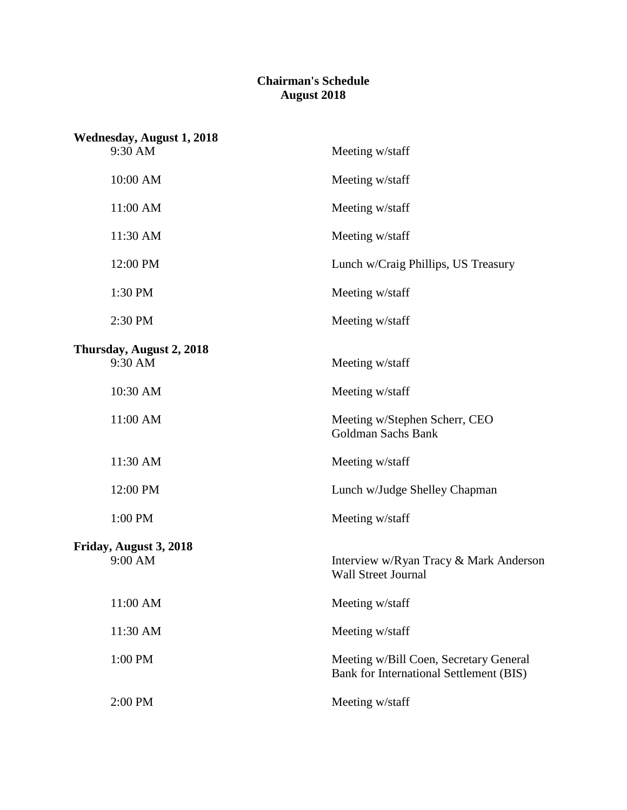### **Chairman's Schedule August 2018**

| <b>Wednesday, August 1, 2018</b> |                                                                                   |
|----------------------------------|-----------------------------------------------------------------------------------|
| 9:30 AM                          | Meeting w/staff                                                                   |
| 10:00 AM                         | Meeting w/staff                                                                   |
| 11:00 AM                         | Meeting w/staff                                                                   |
| 11:30 AM                         | Meeting w/staff                                                                   |
| 12:00 PM                         | Lunch w/Craig Phillips, US Treasury                                               |
| 1:30 PM                          | Meeting w/staff                                                                   |
| 2:30 PM                          | Meeting w/staff                                                                   |
| Thursday, August 2, 2018         |                                                                                   |
| 9:30 AM                          | Meeting w/staff                                                                   |
| 10:30 AM                         | Meeting w/staff                                                                   |
| 11:00 AM                         | Meeting w/Stephen Scherr, CEO<br>Goldman Sachs Bank                               |
| 11:30 AM                         | Meeting w/staff                                                                   |
| 12:00 PM                         | Lunch w/Judge Shelley Chapman                                                     |
| 1:00 PM                          | Meeting w/staff                                                                   |
| Friday, August 3, 2018           |                                                                                   |
| 9:00 AM                          | Interview w/Ryan Tracy & Mark Anderson<br>Wall Street Journal                     |
| 11:00 AM                         | Meeting w/staff                                                                   |
| 11:30 AM                         | Meeting w/staff                                                                   |
| 1:00 PM                          | Meeting w/Bill Coen, Secretary General<br>Bank for International Settlement (BIS) |
| 2:00 PM                          | Meeting w/staff                                                                   |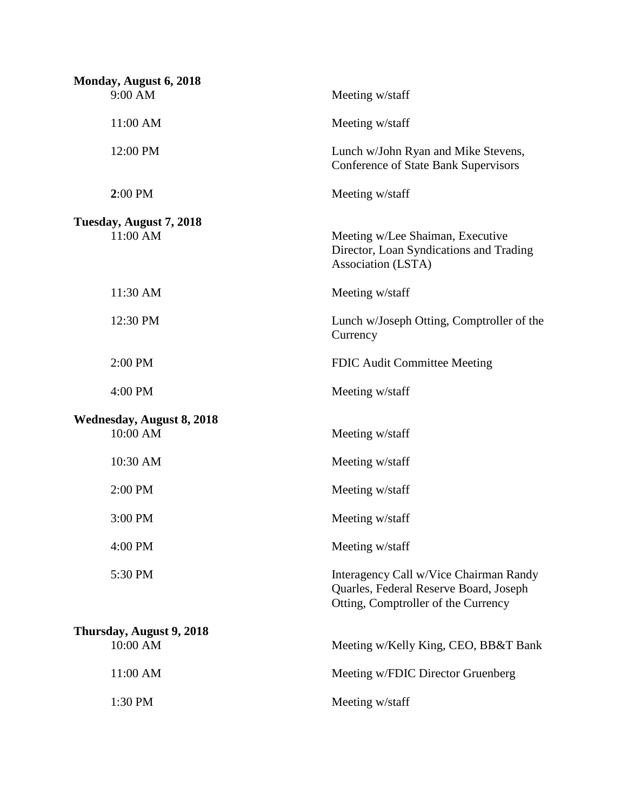| Monday, August 6, 2018                       |                                                                                                                         |
|----------------------------------------------|-------------------------------------------------------------------------------------------------------------------------|
| 9:00 AM                                      | Meeting w/staff                                                                                                         |
| 11:00 AM                                     | Meeting w/staff                                                                                                         |
| 12:00 PM                                     | Lunch w/John Ryan and Mike Stevens,<br><b>Conference of State Bank Supervisors</b>                                      |
| 2:00 PM                                      | Meeting w/staff                                                                                                         |
| Tuesday, August 7, 2018<br>11:00 AM          | Meeting w/Lee Shaiman, Executive<br>Director, Loan Syndications and Trading<br>Association (LSTA)                       |
| 11:30 AM                                     | Meeting w/staff                                                                                                         |
| 12:30 PM                                     | Lunch w/Joseph Otting, Comptroller of the<br>Currency                                                                   |
| 2:00 PM                                      | FDIC Audit Committee Meeting                                                                                            |
| 4:00 PM                                      | Meeting w/staff                                                                                                         |
| <b>Wednesday, August 8, 2018</b><br>10:00 AM | Meeting w/staff                                                                                                         |
| 10:30 AM                                     | Meeting w/staff                                                                                                         |
| 2:00 PM                                      | Meeting w/staff                                                                                                         |
| 3:00 PM                                      | Meeting w/staff                                                                                                         |
| 4:00 PM                                      | Meeting w/staff                                                                                                         |
| 5:30 PM                                      | Interagency Call w/Vice Chairman Randy<br>Quarles, Federal Reserve Board, Joseph<br>Otting, Comptroller of the Currency |
| Thursday, August 9, 2018                     |                                                                                                                         |
| 10:00 AM                                     | Meeting w/Kelly King, CEO, BB&T Bank                                                                                    |
| 11:00 AM                                     | Meeting w/FDIC Director Gruenberg                                                                                       |
| 1:30 PM                                      | Meeting w/staff                                                                                                         |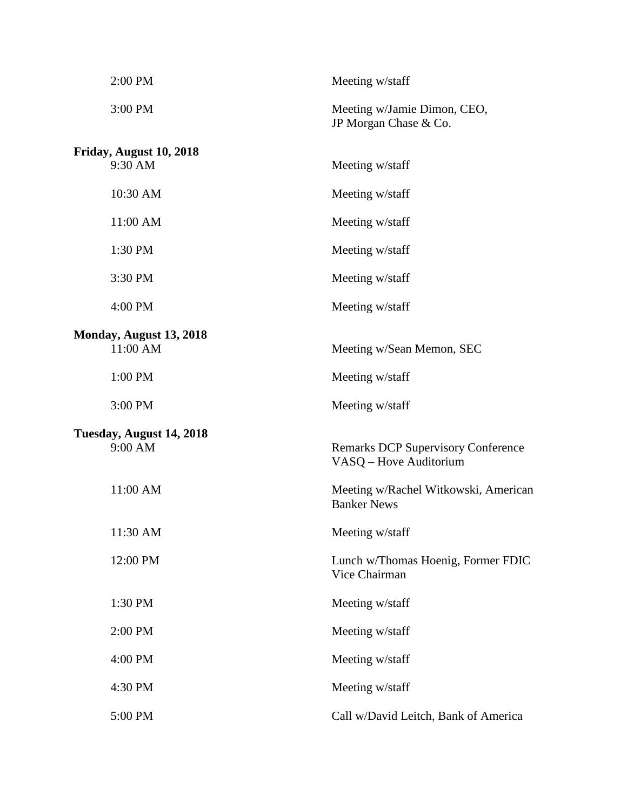| 2:00 PM                  | Meeting w/staff                                                     |
|--------------------------|---------------------------------------------------------------------|
| 3:00 PM                  | Meeting w/Jamie Dimon, CEO,<br>JP Morgan Chase & Co.                |
| Friday, August 10, 2018  |                                                                     |
| 9:30 AM                  | Meeting w/staff                                                     |
| 10:30 AM                 | Meeting w/staff                                                     |
| 11:00 AM                 | Meeting w/staff                                                     |
| 1:30 PM                  | Meeting w/staff                                                     |
| 3:30 PM                  | Meeting w/staff                                                     |
| 4:00 PM                  | Meeting w/staff                                                     |
| Monday, August 13, 2018  |                                                                     |
| 11:00 AM                 | Meeting w/Sean Memon, SEC                                           |
| 1:00 PM                  | Meeting w/staff                                                     |
| 3:00 PM                  | Meeting w/staff                                                     |
| Tuesday, August 14, 2018 |                                                                     |
| 9:00 AM                  | <b>Remarks DCP Supervisory Conference</b><br>VASQ - Hove Auditorium |
| 11:00 AM                 | Meeting w/Rachel Witkowski, American                                |
|                          | <b>Banker News</b>                                                  |
| 11:30 AM                 | Meeting w/staff                                                     |
| 12:00 PM                 | Lunch w/Thomas Hoenig, Former FDIC<br>Vice Chairman                 |
| 1:30 PM                  | Meeting w/staff                                                     |
| 2:00 PM                  | Meeting w/staff                                                     |
| 4:00 PM                  | Meeting w/staff                                                     |
| 4:30 PM                  | Meeting w/staff                                                     |
| 5:00 PM                  | Call w/David Leitch, Bank of America                                |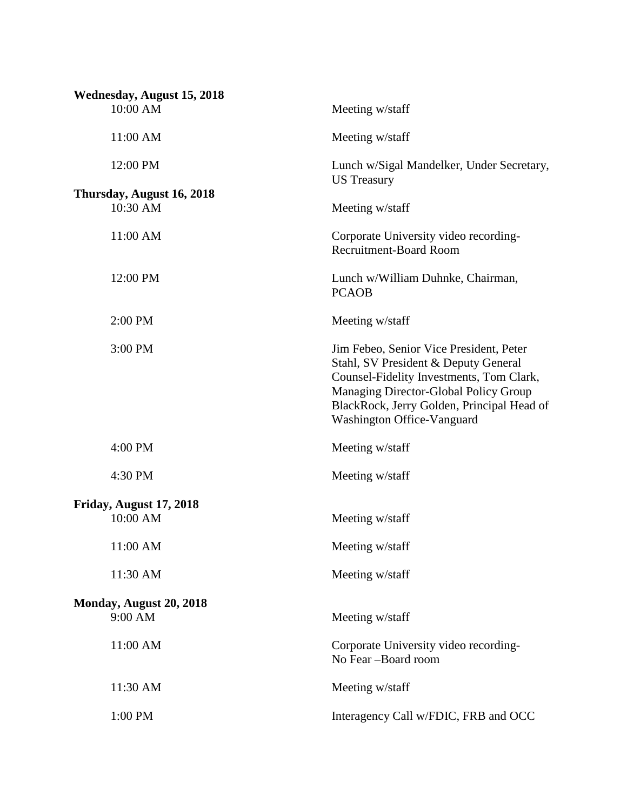| Wednesday, August 15, 2018            |                                                                                                                                                                                                                                                         |
|---------------------------------------|---------------------------------------------------------------------------------------------------------------------------------------------------------------------------------------------------------------------------------------------------------|
| 10:00 AM                              | Meeting w/staff                                                                                                                                                                                                                                         |
| 11:00 AM                              | Meeting w/staff                                                                                                                                                                                                                                         |
| 12:00 PM                              | Lunch w/Sigal Mandelker, Under Secretary,<br><b>US</b> Treasury                                                                                                                                                                                         |
| Thursday, August 16, 2018<br>10:30 AM | Meeting w/staff                                                                                                                                                                                                                                         |
| 11:00 AM                              | Corporate University video recording-<br><b>Recruitment-Board Room</b>                                                                                                                                                                                  |
| 12:00 PM                              | Lunch w/William Duhnke, Chairman,<br><b>PCAOB</b>                                                                                                                                                                                                       |
| 2:00 PM                               | Meeting w/staff                                                                                                                                                                                                                                         |
| 3:00 PM                               | Jim Febeo, Senior Vice President, Peter<br>Stahl, SV President & Deputy General<br>Counsel-Fidelity Investments, Tom Clark,<br>Managing Director-Global Policy Group<br>BlackRock, Jerry Golden, Principal Head of<br><b>Washington Office-Vanguard</b> |
| 4:00 PM                               | Meeting w/staff                                                                                                                                                                                                                                         |
| 4:30 PM                               | Meeting w/staff                                                                                                                                                                                                                                         |
| Friday, August 17, 2018<br>10:00 AM   | Meeting w/staff                                                                                                                                                                                                                                         |
| 11:00 AM                              | Meeting w/staff                                                                                                                                                                                                                                         |
| 11:30 AM                              | Meeting w/staff                                                                                                                                                                                                                                         |
| Monday, August 20, 2018<br>9:00 AM    | Meeting w/staff                                                                                                                                                                                                                                         |
| 11:00 AM                              | Corporate University video recording-<br>No Fear-Board room                                                                                                                                                                                             |
| 11:30 AM                              | Meeting w/staff                                                                                                                                                                                                                                         |
| 1:00 PM                               | Interagency Call w/FDIC, FRB and OCC                                                                                                                                                                                                                    |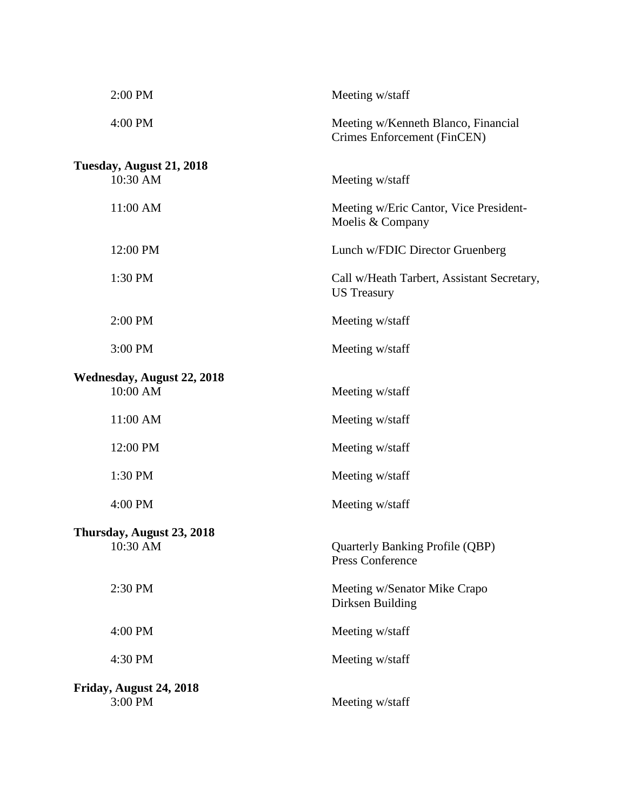| 2:00 PM                           | Meeting w/staff                                                    |
|-----------------------------------|--------------------------------------------------------------------|
| 4:00 PM                           | Meeting w/Kenneth Blanco, Financial<br>Crimes Enforcement (FinCEN) |
| Tuesday, August 21, 2018          |                                                                    |
| 10:30 AM                          | Meeting w/staff                                                    |
| 11:00 AM                          | Meeting w/Eric Cantor, Vice President-<br>Moelis & Company         |
| 12:00 PM                          | Lunch w/FDIC Director Gruenberg                                    |
| 1:30 PM                           | Call w/Heath Tarbert, Assistant Secretary,<br><b>US</b> Treasury   |
| 2:00 PM                           | Meeting w/staff                                                    |
| 3:00 PM                           | Meeting w/staff                                                    |
| <b>Wednesday, August 22, 2018</b> |                                                                    |
| 10:00 AM                          | Meeting w/staff                                                    |
| 11:00 AM                          | Meeting w/staff                                                    |
| 12:00 PM                          | Meeting w/staff                                                    |
| 1:30 PM                           | Meeting w/staff                                                    |
| 4:00 PM                           | Meeting w/staff                                                    |
| Thursday, August 23, 2018         |                                                                    |
| 10:30 AM                          | Quarterly Banking Profile (QBP)<br>Press Conference                |
| 2:30 PM                           | Meeting w/Senator Mike Crapo<br>Dirksen Building                   |
| 4:00 PM                           | Meeting w/staff                                                    |
| 4:30 PM                           | Meeting w/staff                                                    |
| Friday, August 24, 2018           |                                                                    |
| 3:00 PM                           | Meeting w/staff                                                    |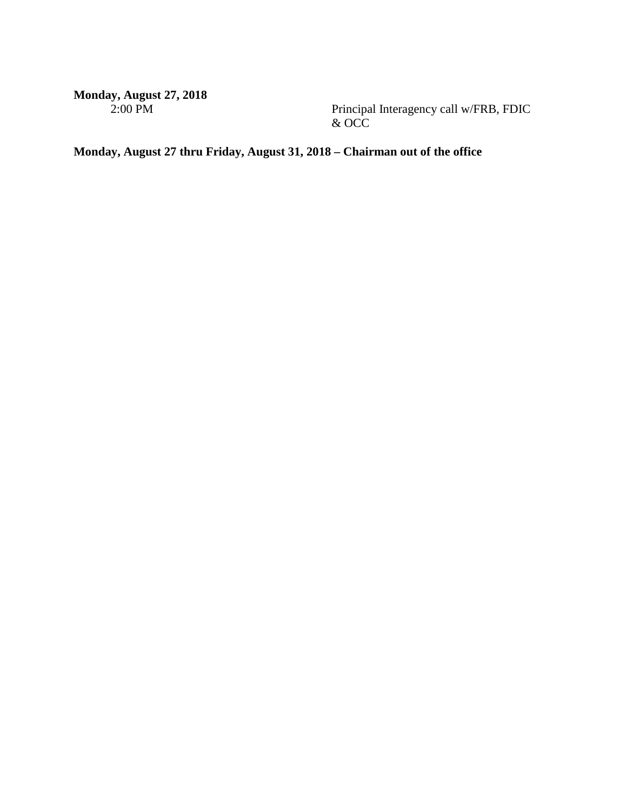**Monday, August 27, 2018**<br>2:00 PM

2:00 PM Principal Interagency call w/FRB, FDIC & OCC

**Monday, August 27 thru Friday, August 31, 2018 – Chairman out of the office**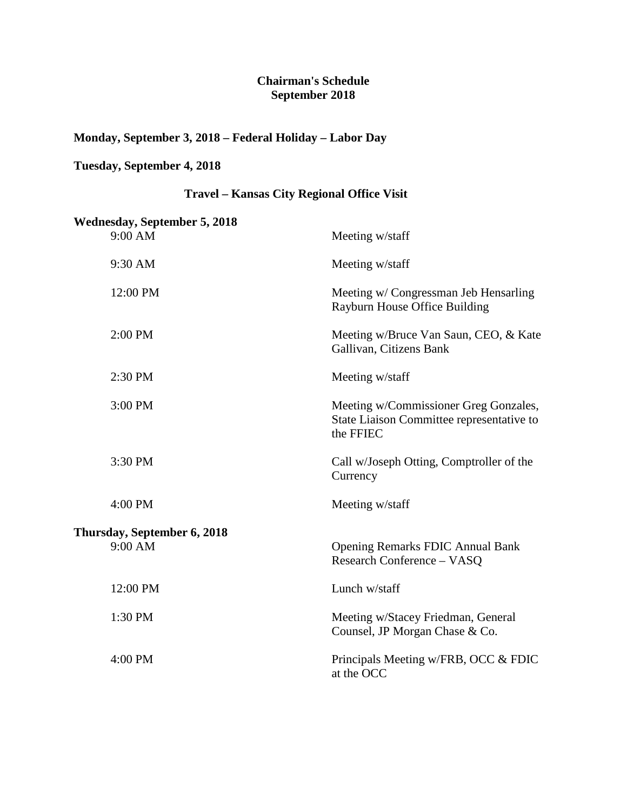#### **Chairman's Schedule September 2018**

# **Monday, September 3, 2018 – Federal Holiday – Labor Day**

# **Tuesday, September 4, 2018**

# **Travel – Kansas City Regional Office Visit**

| <b>Wednesday, September 5, 2018</b><br>9:00 AM | Meeting w/staff                                                                                 |
|------------------------------------------------|-------------------------------------------------------------------------------------------------|
| 9:30 AM                                        | Meeting w/staff                                                                                 |
| 12:00 PM                                       | Meeting w/ Congressman Jeb Hensarling<br>Rayburn House Office Building                          |
| 2:00 PM                                        | Meeting w/Bruce Van Saun, CEO, & Kate<br>Gallivan, Citizens Bank                                |
| 2:30 PM                                        | Meeting w/staff                                                                                 |
| 3:00 PM                                        | Meeting w/Commissioner Greg Gonzales,<br>State Liaison Committee representative to<br>the FFIEC |
| 3:30 PM                                        | Call w/Joseph Otting, Comptroller of the<br>Currency                                            |
| 4:00 PM                                        | Meeting w/staff                                                                                 |
| Thursday, September 6, 2018<br>9:00 AM         | <b>Opening Remarks FDIC Annual Bank</b><br>Research Conference - VASQ                           |
| 12:00 PM                                       | Lunch w/staff                                                                                   |
| 1:30 PM                                        | Meeting w/Stacey Friedman, General<br>Counsel, JP Morgan Chase & Co.                            |
| 4:00 PM                                        | Principals Meeting w/FRB, OCC & FDIC<br>at the OCC                                              |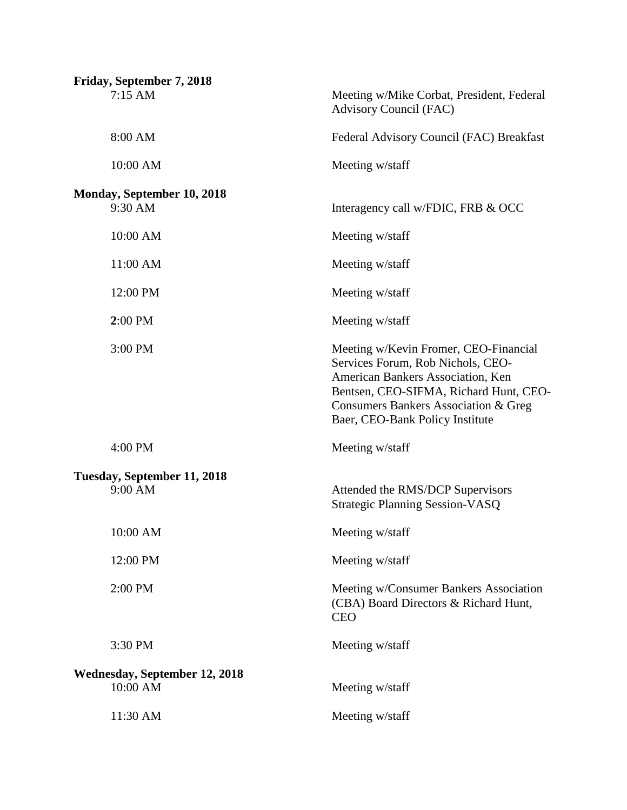| Friday, September 7, 2018             |                                                                                                                                                                                                                                      |
|---------------------------------------|--------------------------------------------------------------------------------------------------------------------------------------------------------------------------------------------------------------------------------------|
| 7:15 AM                               | Meeting w/Mike Corbat, President, Federal<br>Advisory Council (FAC)                                                                                                                                                                  |
| 8:00 AM                               | Federal Advisory Council (FAC) Breakfast                                                                                                                                                                                             |
| 10:00 AM                              | Meeting w/staff                                                                                                                                                                                                                      |
| Monday, September 10, 2018<br>9:30 AM | Interagency call w/FDIC, FRB & OCC                                                                                                                                                                                                   |
| 10:00 AM                              | Meeting w/staff                                                                                                                                                                                                                      |
| 11:00 AM                              | Meeting w/staff                                                                                                                                                                                                                      |
| 12:00 PM                              | Meeting w/staff                                                                                                                                                                                                                      |
| 2:00 PM                               | Meeting w/staff                                                                                                                                                                                                                      |
| 3:00 PM                               | Meeting w/Kevin Fromer, CEO-Financial<br>Services Forum, Rob Nichols, CEO-<br>American Bankers Association, Ken<br>Bentsen, CEO-SIFMA, Richard Hunt, CEO-<br>Consumers Bankers Association & Greg<br>Baer, CEO-Bank Policy Institute |
| 4:00 PM                               | Meeting w/staff                                                                                                                                                                                                                      |
| Tuesday, September 11, 2018           |                                                                                                                                                                                                                                      |
| 9:00 AM                               | Attended the RMS/DCP Supervisors<br><b>Strategic Planning Session-VASQ</b>                                                                                                                                                           |
| 10:00 AM                              | Meeting w/staff                                                                                                                                                                                                                      |
| 12:00 PM                              | Meeting w/staff                                                                                                                                                                                                                      |
| 2:00 PM                               | Meeting w/Consumer Bankers Association<br>(CBA) Board Directors & Richard Hunt,<br><b>CEO</b>                                                                                                                                        |
| 3:30 PM                               | Meeting w/staff                                                                                                                                                                                                                      |
| <b>Wednesday, September 12, 2018</b>  |                                                                                                                                                                                                                                      |
| 10:00 AM                              | Meeting w/staff                                                                                                                                                                                                                      |
| 11:30 AM                              | Meeting w/staff                                                                                                                                                                                                                      |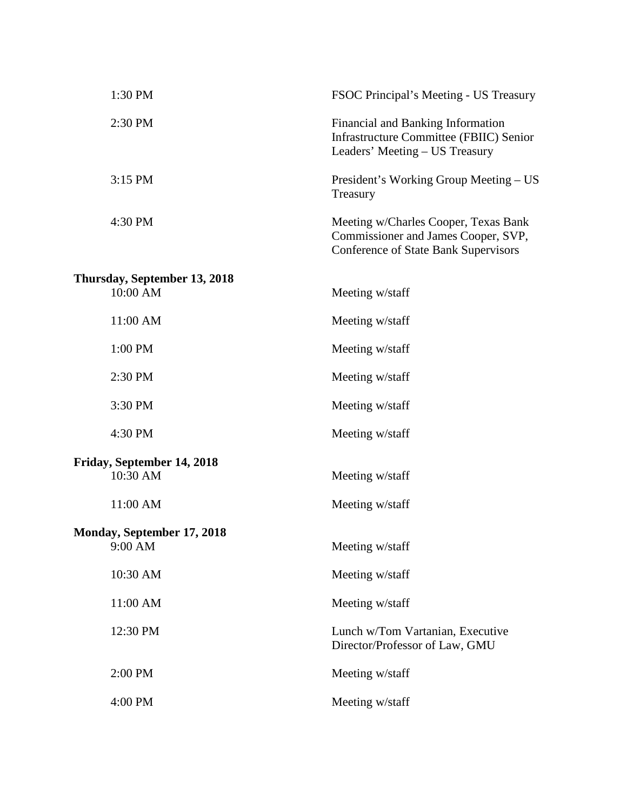| 1:30 PM                                  | FSOC Principal's Meeting - US Treasury                                                                                     |
|------------------------------------------|----------------------------------------------------------------------------------------------------------------------------|
| 2:30 PM                                  | Financial and Banking Information<br>Infrastructure Committee (FBIIC) Senior<br>Leaders' Meeting - US Treasury             |
| 3:15 PM                                  | President's Working Group Meeting – US<br>Treasury                                                                         |
| 4:30 PM                                  | Meeting w/Charles Cooper, Texas Bank<br>Commissioner and James Cooper, SVP,<br><b>Conference of State Bank Supervisors</b> |
| Thursday, September 13, 2018<br>10:00 AM | Meeting w/staff                                                                                                            |
| 11:00 AM                                 | Meeting w/staff                                                                                                            |
| 1:00 PM                                  | Meeting w/staff                                                                                                            |
| 2:30 PM                                  | Meeting w/staff                                                                                                            |
| 3:30 PM                                  | Meeting w/staff                                                                                                            |
| 4:30 PM                                  | Meeting w/staff                                                                                                            |
| Friday, September 14, 2018<br>10:30 AM   | Meeting w/staff                                                                                                            |
| 11:00 AM                                 | Meeting w/staff                                                                                                            |
| Monday, September 17, 2018<br>9:00 AM    | Meeting w/staff                                                                                                            |
| 10:30 AM                                 | Meeting w/staff                                                                                                            |
| 11:00 AM                                 | Meeting w/staff                                                                                                            |
| 12:30 PM                                 | Lunch w/Tom Vartanian, Executive<br>Director/Professor of Law, GMU                                                         |
| 2:00 PM                                  | Meeting w/staff                                                                                                            |
| 4:00 PM                                  | Meeting w/staff                                                                                                            |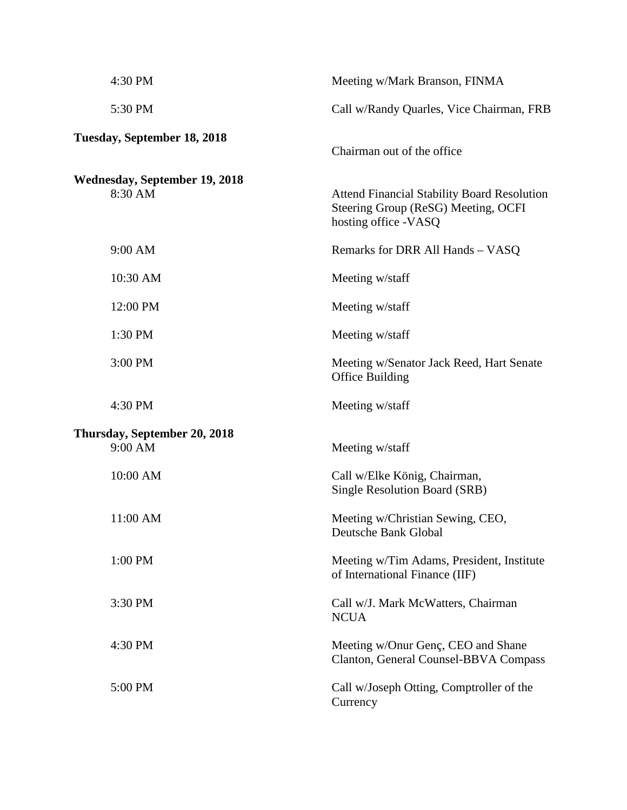| 4:30 PM                                         | Meeting w/Mark Branson, FINMA                                                                                     |
|-------------------------------------------------|-------------------------------------------------------------------------------------------------------------------|
| 5:30 PM                                         | Call w/Randy Quarles, Vice Chairman, FRB                                                                          |
| Tuesday, September 18, 2018                     | Chairman out of the office                                                                                        |
| <b>Wednesday, September 19, 2018</b><br>8:30 AM | <b>Attend Financial Stability Board Resolution</b><br>Steering Group (ReSG) Meeting, OCFI<br>hosting office -VASQ |
| 9:00 AM                                         | Remarks for DRR All Hands - VASQ                                                                                  |
| 10:30 AM                                        | Meeting w/staff                                                                                                   |
| 12:00 PM                                        | Meeting w/staff                                                                                                   |
| 1:30 PM                                         | Meeting w/staff                                                                                                   |
| 3:00 PM                                         | Meeting w/Senator Jack Reed, Hart Senate<br><b>Office Building</b>                                                |
| 4:30 PM                                         | Meeting w/staff                                                                                                   |
| Thursday, September 20, 2018<br>9:00 AM         | Meeting w/staff                                                                                                   |
| 10:00 AM                                        | Call w/Elke König, Chairman,<br>Single Resolution Board (SRB)                                                     |
| 11:00 AM                                        | Meeting w/Christian Sewing, CEO,<br>Deutsche Bank Global                                                          |
| 1:00 PM                                         | Meeting w/Tim Adams, President, Institute<br>of International Finance (IIF)                                       |
| 3:30 PM                                         | Call w/J. Mark McWatters, Chairman<br><b>NCUA</b>                                                                 |
| 4:30 PM                                         | Meeting w/Onur Genç, CEO and Shane<br>Clanton, General Counsel-BBVA Compass                                       |
| 5:00 PM                                         | Call w/Joseph Otting, Comptroller of the<br>Currency                                                              |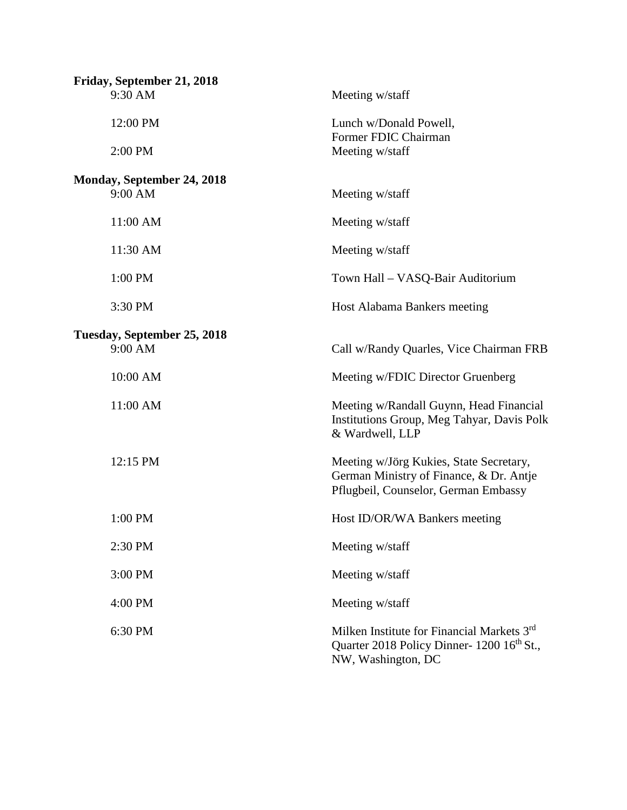| Friday, September 21, 2018  |                                                                                                                            |
|-----------------------------|----------------------------------------------------------------------------------------------------------------------------|
| 9:30 AM                     | Meeting w/staff                                                                                                            |
| 12:00 PM                    | Lunch w/Donald Powell,<br>Former FDIC Chairman                                                                             |
| 2:00 PM                     | Meeting w/staff                                                                                                            |
| Monday, September 24, 2018  |                                                                                                                            |
| 9:00 AM                     | Meeting w/staff                                                                                                            |
| 11:00 AM                    | Meeting w/staff                                                                                                            |
| 11:30 AM                    | Meeting w/staff                                                                                                            |
| 1:00 PM                     | Town Hall - VASQ-Bair Auditorium                                                                                           |
| 3:30 PM                     | Host Alabama Bankers meeting                                                                                               |
| Tuesday, September 25, 2018 |                                                                                                                            |
| 9:00 AM                     | Call w/Randy Quarles, Vice Chairman FRB                                                                                    |
| 10:00 AM                    | Meeting w/FDIC Director Gruenberg                                                                                          |
| 11:00 AM                    | Meeting w/Randall Guynn, Head Financial<br>Institutions Group, Meg Tahyar, Davis Polk<br>& Wardwell, LLP                   |
| 12:15 PM                    | Meeting w/Jörg Kukies, State Secretary,<br>German Ministry of Finance, & Dr. Antje<br>Pflugbeil, Counselor, German Embassy |
| 1:00 PM                     | Host ID/OR/WA Bankers meeting                                                                                              |
| 2:30 PM                     | Meeting w/staff                                                                                                            |
| 3:00 PM                     | Meeting w/staff                                                                                                            |
| 4:00 PM                     | Meeting w/staff                                                                                                            |
| 6:30 PM                     | Milken Institute for Financial Markets 3rd<br>Quarter 2018 Policy Dinner- 1200 16 <sup>th</sup> St.,<br>NW, Washington, DC |